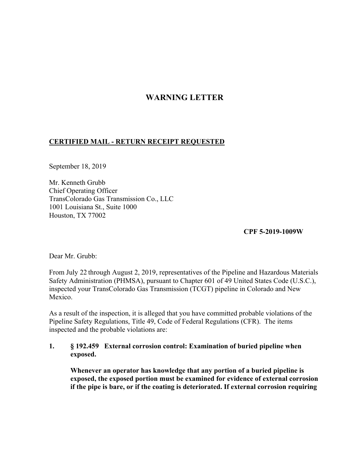# **WARNING LETTER**

## **CERTIFIED MAIL - RETURN RECEIPT REQUESTED**

September 18, 2019

Mr. Kenneth Grubb Chief Operating Officer TransColorado Gas Transmission Co., LLC 1001 Louisiana St., Suite 1000 Houston, TX 77002

**CPF 5-2019-1009W** 

Dear Mr. Grubb:

From July 22 through August 2, 2019, representatives of the Pipeline and Hazardous Materials Safety Administration (PHMSA), pursuant to Chapter 601 of 49 United States Code (U.S.C.), inspected your TransColorado Gas Transmission (TCGT) pipeline in Colorado and New Mexico.

As a result of the inspection, it is alleged that you have committed probable violations of the Pipeline Safety Regulations, Title 49, Code of Federal Regulations (CFR). The items inspected and the probable violations are:

#### **1. § 192.459 External corrosion control: Examination of buried pipeline when exposed.**

**Whenever an operator has knowledge that any portion of a buried pipeline is exposed, the exposed portion must be examined for evidence of external corrosion if the pipe is bare, or if the coating is deteriorated. If external corrosion requiring**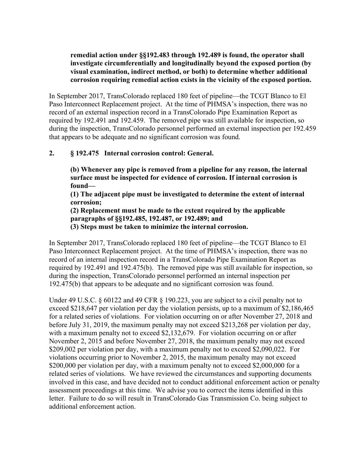## **remedial action under §§192.483 through 192.489 is found, the operator shall investigate circumferentially and longitudinally beyond the exposed portion (by visual examination, indirect method, or both) to determine whether additional corrosion requiring remedial action exists in the vicinity of the exposed portion.**

In September 2017, TransColorado replaced 180 feet of pipeline—the TCGT Blanco to El Paso Interconnect Replacement project. At the time of PHMSA's inspection, there was no record of an external inspection record in a TransColorado Pipe Examination Report as required by 192.491 and 192.459. The removed pipe was still available for inspection, so during the inspection, TransColorado personnel performed an external inspection per 192.459 that appears to be adequate and no significant corrosion was found.

# **2. § 192.475 Internal corrosion control: General.**

**(b) Whenever any pipe is removed from a pipeline for any reason, the internal surface must be inspected for evidence of corrosion. If internal corrosion is found—** 

**(1) The adjacent pipe must be investigated to determine the extent of internal corrosion;** 

**(2) Replacement must be made to the extent required by the applicable paragraphs of §§192.485, 192.487, or 192.489; and** 

**(3) Steps must be taken to minimize the internal corrosion.** 

In September 2017, TransColorado replaced 180 feet of pipeline—the TCGT Blanco to El Paso Interconnect Replacement project. At the time of PHMSA's inspection, there was no record of an internal inspection record in a TransColorado Pipe Examination Report as required by 192.491 and 192.475(b). The removed pipe was still available for inspection, so during the inspection, TransColorado personnel performed an internal inspection per 192.475(b) that appears to be adequate and no significant corrosion was found.

Under 49 U.S.C. § 60122 and 49 CFR § 190.223, you are subject to a civil penalty not to exceed \$218,647 per violation per day the violation persists, up to a maximum of \$2,186,465 for a related series of violations. For violation occurring on or after November 27, 2018 and before July 31, 2019, the maximum penalty may not exceed \$213,268 per violation per day, with a maximum penalty not to exceed \$2,132,679. For violation occurring on or after November 2, 2015 and before November 27, 2018, the maximum penalty may not exceed \$209,002 per violation per day, with a maximum penalty not to exceed \$2,090,022. For violations occurring prior to November 2, 2015, the maximum penalty may not exceed \$200,000 per violation per day, with a maximum penalty not to exceed \$2,000,000 for a related series of violations. We have reviewed the circumstances and supporting documents involved in this case, and have decided not to conduct additional enforcement action or penalty assessment proceedings at this time. We advise you to correct the items identified in this letter. Failure to do so will result in TransColorado Gas Transmission Co. being subject to additional enforcement action.